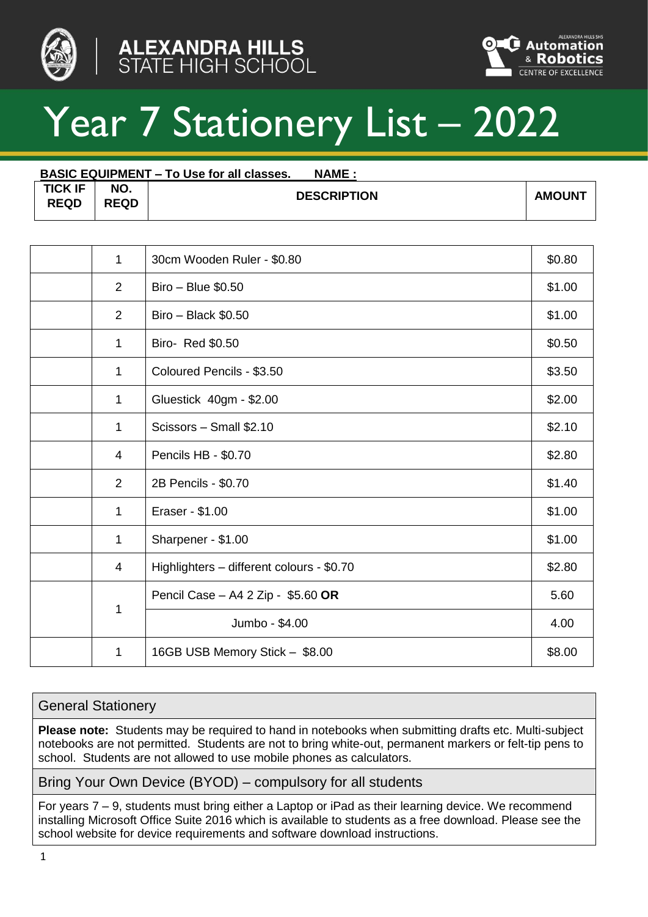





## Year 7 Stationery List – 2022

| <b>BASIC EQUIPMENT – To Use for all classes.</b><br><b>NAME:</b> |                    |                    |               |  |  |  |
|------------------------------------------------------------------|--------------------|--------------------|---------------|--|--|--|
| <b>TICK IF</b><br><b>REQD</b>                                    | NO.<br><b>REQD</b> | <b>DESCRIPTION</b> | <b>AMOUNT</b> |  |  |  |

| 1              | 30cm Wooden Ruler - \$0.80                | \$0.80 |
|----------------|-------------------------------------------|--------|
| 2              | Biro - Blue \$0.50                        | \$1.00 |
| 2              | Biro - Black \$0.50                       | \$1.00 |
| 1              | Biro- Red \$0.50                          | \$0.50 |
| 1              | Coloured Pencils - \$3.50                 | \$3.50 |
| 1              | Gluestick 40gm - \$2.00                   | \$2.00 |
| 1              | Scissors - Small \$2.10                   | \$2.10 |
| 4              | Pencils HB - \$0.70                       | \$2.80 |
| $\overline{2}$ | 2B Pencils - \$0.70                       | \$1.40 |
| 1              | Eraser - \$1.00                           | \$1.00 |
| 1              | Sharpener - \$1.00                        | \$1.00 |
| 4              | Highlighters - different colours - \$0.70 | \$2.80 |
| 1              | Pencil Case - A4 2 Zip - \$5.60 OR        | 5.60   |
|                | Jumbo - \$4.00                            | 4.00   |
| 1              | 16GB USB Memory Stick - \$8.00            | \$8.00 |

## General Stationery

**Please note:** Students may be required to hand in notebooks when submitting drafts etc. Multi-subject notebooks are not permitted. Students are not to bring white-out, permanent markers or felt-tip pens to school. Students are not allowed to use mobile phones as calculators.

Bring Your Own Device (BYOD) – compulsory for all students

For years 7 – 9, students must bring either a Laptop or iPad as their learning device. We recommend installing Microsoft Office Suite 2016 which is available to students as a free download. Please see the school website for device requirements and software download instructions.